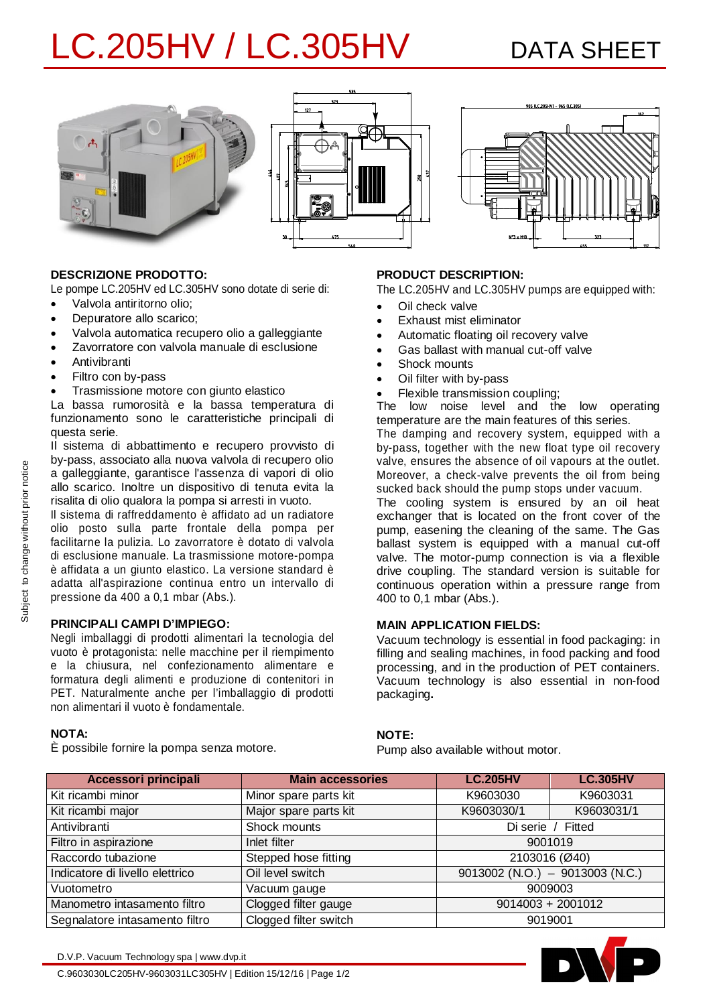# LC.205HV / LC.305HV DATA SHEET







## **DESCRIZIONE PRODOTTO:**

Le pompe LC.205HV ed LC.305HV sono dotate di serie di:

- · Valvola antiritorno olio;
- · Depuratore allo scarico;
- · Valvola automatica recupero olio a galleggiante Zavorratore con valvola manuale di esclusione
- 
- · Antivibranti
- · Filtro con by-pass
- · Trasmissione motore con giunto elastico

La bassa rumorosità e la bassa temperatura di funzionamento sono le caratteristiche principali di questa serie.

Il sistema di abbattimento e recupero provvisto di by-pass, associato alla nuova valvola di recupero olio a galleggiante, garantisce l'assenza di vapori di olio allo scarico. Inoltre un dispositivo di tenuta evita la risalita di olio qualora la pompa si arresti in vuoto.

Il sistema di raffreddamento è affidato ad un radiatore olio posto sulla parte frontale della pompa per facilitarne la pulizia. Lo zavorratore è dotato di valvola di esclusione manuale. La trasmissione motore-pompa è affidata a un giunto elastico. La versione standard è adatta all'aspirazione continua entro un intervallo di pressione da 400 a 0,1 mbar (Abs.).

### **PRINCIPALI CAMPI D'IMPIEGO:**

Negli imballaggi di prodotti alimentari la tecnologia del vuoto è protagonista: nelle macchine per il riempimento e la chiusura, nel confezionamento alimentare e formatura degli alimenti e produzione di contenitori in PET. Naturalmente anche per l'imballaggio di prodotti non alimentari il vuoto è fondamentale.

# **NOTA:**

È possibile fornire la pompa senza motore.

## **PRODUCT DESCRIPTION:**

The LC.205HV and LC.305HV pumps are equipped with:

- · Oil check valve
- Exhaust mist eliminator
- · Automatic floating oil recovery valve
- Gas ballast with manual cut-off valve
- Shock mounts
- Oil filter with by-pass
- Flexible transmission coupling;

The low noise level and the low operating temperature are the main features of this series.

The damping and recovery system, equipped with a by-pass, together with the new float type oil recovery valve, ensures the absence of oil vapours at the outlet. Moreover, a check-valve prevents the oil from being sucked back should the pump stops under vacuum.

The cooling system is ensured by an oil heat exchanger that is located on the front cover of the pump, easening the cleaning of the same. The Gas ballast system is equipped with a manual cut-off valve. The motor-pump connection is via a flexible drive coupling. The standard version is suitable for continuous operation within a pressure range from 400 to 0,1 mbar (Abs.).

### **MAIN APPLICATION FIELDS:**

Vacuum technology is essential in food packaging: in filling and sealing machines, in food packing and food processing, and in the production of PET containers. Vacuum technology is also essential in non-food packaging**.**

### **NOTE:**

Pump also available without motor.

| <b>Accessori principali</b>     | <b>Main accessories</b> | <b>LC.205HV</b>                   | <b>LC.305HV</b> |  |
|---------------------------------|-------------------------|-----------------------------------|-----------------|--|
| Kit ricambi minor               | Minor spare parts kit   | K9603030                          | K9603031        |  |
| Kit ricambi major               | Major spare parts kit   | K9603030/1                        | K9603031/1      |  |
| Antivibranti                    | Shock mounts            | Di serie / Fitted                 |                 |  |
| Filtro in aspirazione           | Inlet filter            | 9001019                           |                 |  |
| Raccordo tubazione              | Stepped hose fitting    | 2103016 (Ø40)                     |                 |  |
| Indicatore di livello elettrico | Oil level switch        | $9013002$ (N.O.) - 9013003 (N.C.) |                 |  |
| Vuotometro                      | Vacuum gauge            | 9009003                           |                 |  |
| Manometro intasamento filtro    | Clogged filter gauge    | $9014003 + 2001012$               |                 |  |
| Segnalatore intasamento filtro  | Clogged filter switch   | 9019001                           |                 |  |



C.9603030LC205HV-9603031LC305HV | Edition 15/12/16 | Page 1/2